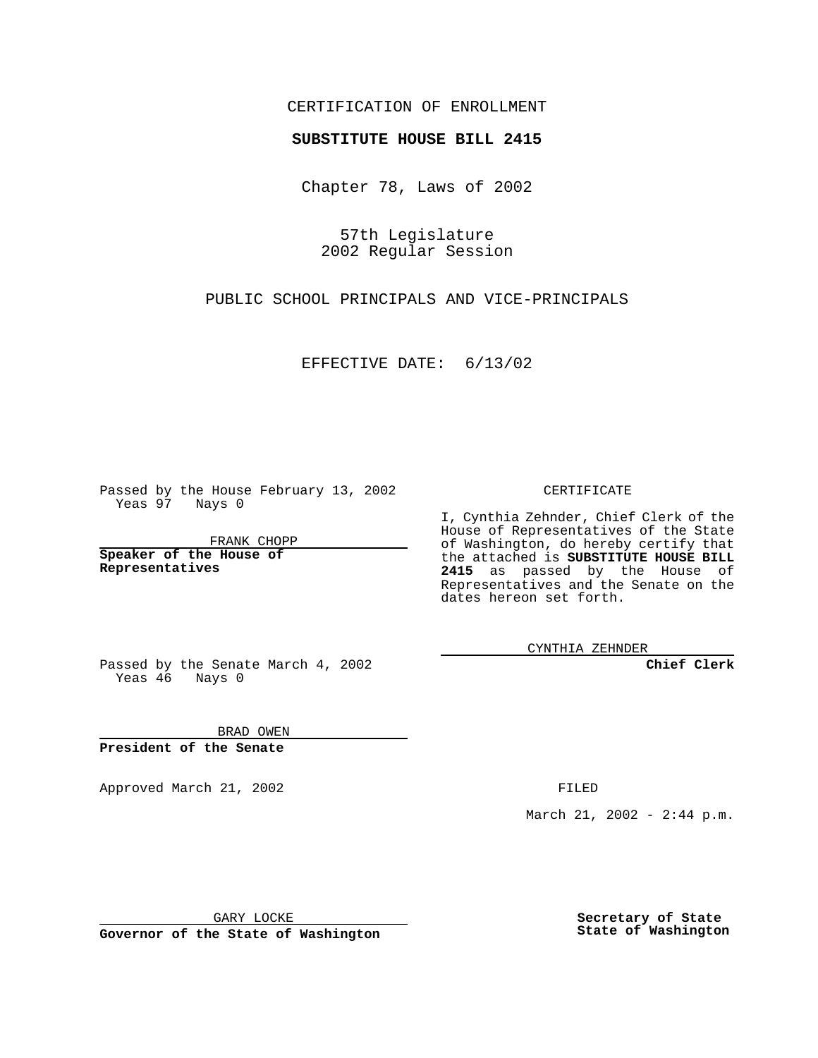## CERTIFICATION OF ENROLLMENT

## **SUBSTITUTE HOUSE BILL 2415**

Chapter 78, Laws of 2002

57th Legislature 2002 Regular Session

PUBLIC SCHOOL PRINCIPALS AND VICE-PRINCIPALS

EFFECTIVE DATE: 6/13/02

Passed by the House February 13, 2002 Yeas 97 Nays 0

FRANK CHOPP

**Speaker of the House of Representatives**

CERTIFICATE

I, Cynthia Zehnder, Chief Clerk of the House of Representatives of the State of Washington, do hereby certify that the attached is **SUBSTITUTE HOUSE BILL 2415** as passed by the House of Representatives and the Senate on the dates hereon set forth.

CYNTHIA ZEHNDER

**Chief Clerk**

Passed by the Senate March 4, 2002 Yeas 46 Nays 0

BRAD OWEN **President of the Senate**

Approved March 21, 2002 **FILED** 

March 21, 2002 - 2:44 p.m.

GARY LOCKE

**Governor of the State of Washington**

**Secretary of State State of Washington**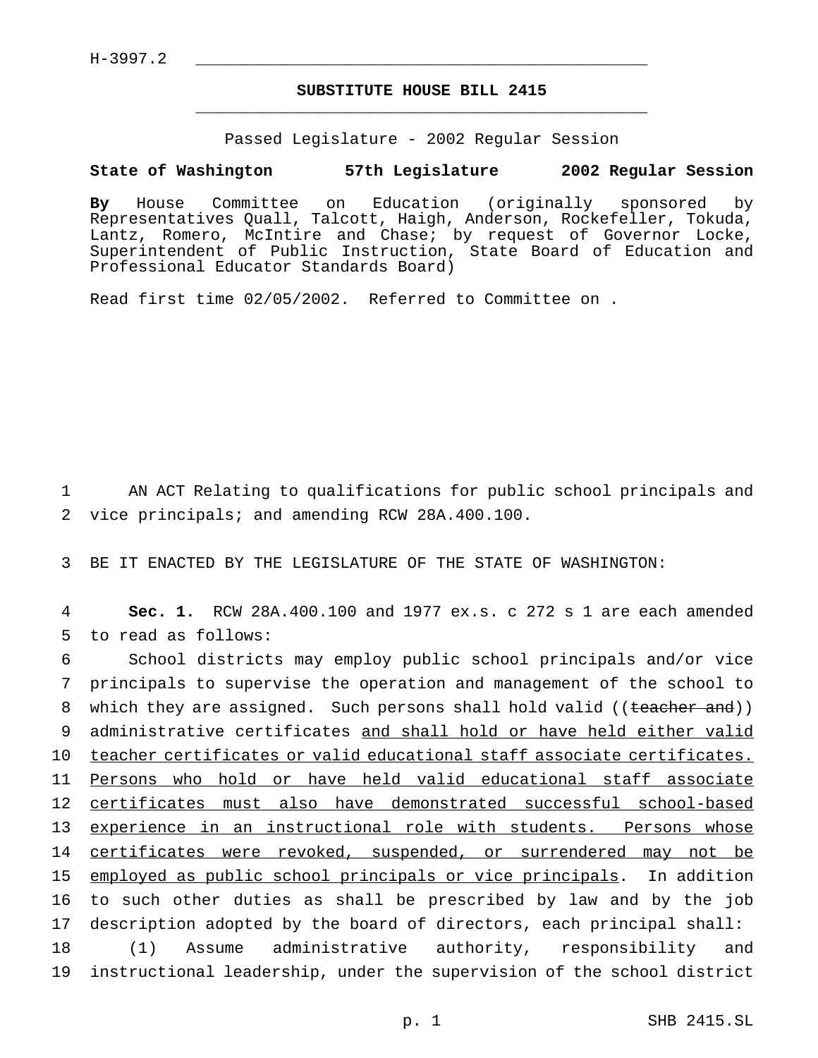## **SUBSTITUTE HOUSE BILL 2415** \_\_\_\_\_\_\_\_\_\_\_\_\_\_\_\_\_\_\_\_\_\_\_\_\_\_\_\_\_\_\_\_\_\_\_\_\_\_\_\_\_\_\_\_\_\_\_

Passed Legislature - 2002 Regular Session

## **State of Washington 57th Legislature 2002 Regular Session**

**By** House Committee on Education (originally sponsored by Representatives Quall, Talcott, Haigh, Anderson, Rockefeller, Tokuda, Lantz, Romero, McIntire and Chase; by request of Governor Locke, Superintendent of Public Instruction, State Board of Education and Professional Educator Standards Board)

Read first time 02/05/2002. Referred to Committee on .

1 AN ACT Relating to qualifications for public school principals and 2 vice principals; and amending RCW 28A.400.100.

3 BE IT ENACTED BY THE LEGISLATURE OF THE STATE OF WASHINGTON:

4 **Sec. 1.** RCW 28A.400.100 and 1977 ex.s. c 272 s 1 are each amended 5 to read as follows:

 School districts may employ public school principals and/or vice principals to supervise the operation and management of the school to 8 which they are assigned. Such persons shall hold valid ((teacher and)) administrative certificates and shall hold or have held either valid 10 teacher certificates or valid educational staff associate certificates. Persons who hold or have held valid educational staff associate certificates must also have demonstrated successful school-based experience in an instructional role with students. Persons whose 14 certificates were revoked, suspended, or surrendered may not be employed as public school principals or vice principals. In addition to such other duties as shall be prescribed by law and by the job description adopted by the board of directors, each principal shall: (1) Assume administrative authority, responsibility and instructional leadership, under the supervision of the school district